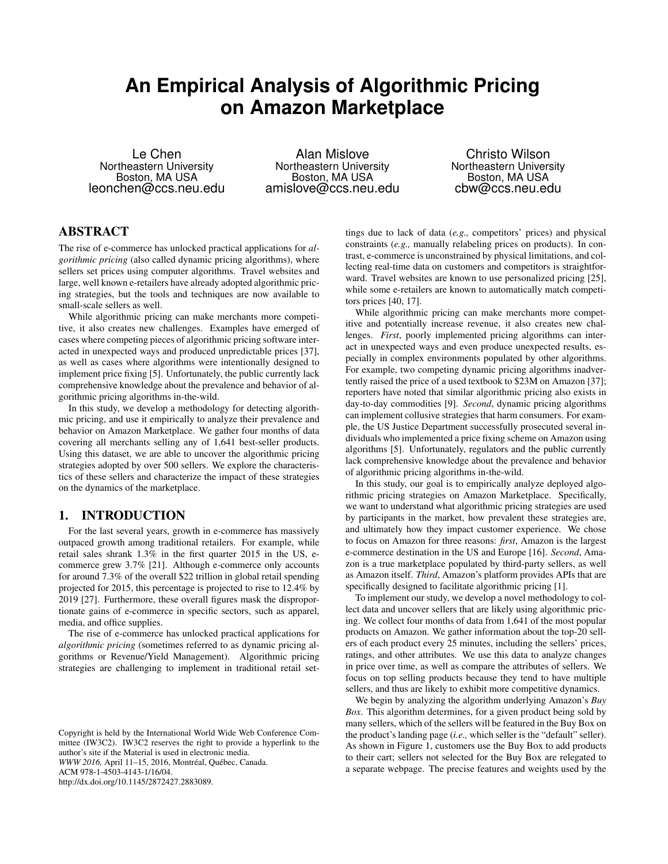# **An Empirical Analysis of Algorithmic Pricing on Amazon Marketplace**

Le Chen Northeastern University Boston, MA USA leonchen@ccs.neu.edu

Alan Mislove Northeastern University Boston, MA USA amislove@ccs.neu.edu

Christo Wilson Northeastern University Boston, MA USA cbw@ccs.neu.edu

# ABSTRACT

The rise of e-commerce has unlocked practical applications for *algorithmic pricing* (also called dynamic pricing algorithms), where sellers set prices using computer algorithms. Travel websites and large, well known e-retailers have already adopted algorithmic pricing strategies, but the tools and techniques are now available to small-scale sellers as well.

While algorithmic pricing can make merchants more competitive, it also creates new challenges. Examples have emerged of cases where competing pieces of algorithmic pricing software interacted in unexpected ways and produced unpredictable prices [37], as well as cases where algorithms were intentionally designed to implement price fixing [5]. Unfortunately, the public currently lack comprehensive knowledge about the prevalence and behavior of algorithmic pricing algorithms in-the-wild.

In this study, we develop a methodology for detecting algorithmic pricing, and use it empirically to analyze their prevalence and behavior on Amazon Marketplace. We gather four months of data covering all merchants selling any of 1,641 best-seller products. Using this dataset, we are able to uncover the algorithmic pricing strategies adopted by over 500 sellers. We explore the characteristics of these sellers and characterize the impact of these strategies on the dynamics of the marketplace.

# 1. INTRODUCTION

For the last several years, growth in e-commerce has massively outpaced growth among traditional retailers. For example, while retail sales shrank 1.3% in the first quarter 2015 in the US, ecommerce grew 3.7% [21]. Although e-commerce only accounts for around 7.3% of the overall \$22 trillion in global retail spending projected for 2015, this percentage is projected to rise to 12.4% by 2019 [27]. Furthermore, these overall figures mask the disproportionate gains of e-commerce in specific sectors, such as apparel, media, and office supplies.

The rise of e-commerce has unlocked practical applications for *algorithmic pricing* (sometimes referred to as dynamic pricing algorithms or Revenue/Yield Management). Algorithmic pricing strategies are challenging to implement in traditional retail set-

*WWW 2016,* April 11–15, 2016, Montréal, Québec, Canada.

ACM 978-1-4503-4143-1/16/04.

http://dx.doi.org/10.1145/2872427.2883089.

tings due to lack of data (*e.g.,* competitors' prices) and physical constraints (*e.g.,* manually relabeling prices on products). In contrast, e-commerce is unconstrained by physical limitations, and collecting real-time data on customers and competitors is straightforward. Travel websites are known to use personalized pricing [25], while some e-retailers are known to automatically match competitors prices [40, 17].

While algorithmic pricing can make merchants more competitive and potentially increase revenue, it also creates new challenges. *First*, poorly implemented pricing algorithms can interact in unexpected ways and even produce unexpected results, especially in complex environments populated by other algorithms. For example, two competing dynamic pricing algorithms inadvertently raised the price of a used textbook to \$23M on Amazon [37]; reporters have noted that similar algorithmic pricing also exists in day-to-day commodities [9]. *Second*, dynamic pricing algorithms can implement collusive strategies that harm consumers. For example, the US Justice Department successfully prosecuted several individuals who implemented a price fixing scheme on Amazon using algorithms [5]. Unfortunately, regulators and the public currently lack comprehensive knowledge about the prevalence and behavior of algorithmic pricing algorithms in-the-wild.

In this study, our goal is to empirically analyze deployed algorithmic pricing strategies on Amazon Marketplace. Specifically, we want to understand what algorithmic pricing strategies are used by participants in the market, how prevalent these strategies are, and ultimately how they impact customer experience. We chose to focus on Amazon for three reasons: *first*, Amazon is the largest e-commerce destination in the US and Europe [16]. *Second*, Amazon is a true marketplace populated by third-party sellers, as well as Amazon itself. *Third*, Amazon's platform provides APIs that are specifically designed to facilitate algorithmic pricing [1].

To implement our study, we develop a novel methodology to collect data and uncover sellers that are likely using algorithmic pricing. We collect four months of data from 1,641 of the most popular products on Amazon. We gather information about the top-20 sellers of each product every 25 minutes, including the sellers' prices, ratings, and other attributes. We use this data to analyze changes in price over time, as well as compare the attributes of sellers. We focus on top selling products because they tend to have multiple sellers, and thus are likely to exhibit more competitive dynamics.

We begin by analyzing the algorithm underlying Amazon's *Buy Box*. This algorithm determines, for a given product being sold by many sellers, which of the sellers will be featured in the Buy Box on the product's landing page (*i.e.,* which seller is the "default" seller). As shown in Figure 1, customers use the Buy Box to add products to their cart; sellers not selected for the Buy Box are relegated to a separate webpage. The precise features and weights used by the

Copyright is held by the International World Wide Web Conference Committee (IW3C2). IW3C2 reserves the right to provide a hyperlink to the author's site if the Material is used in electronic media.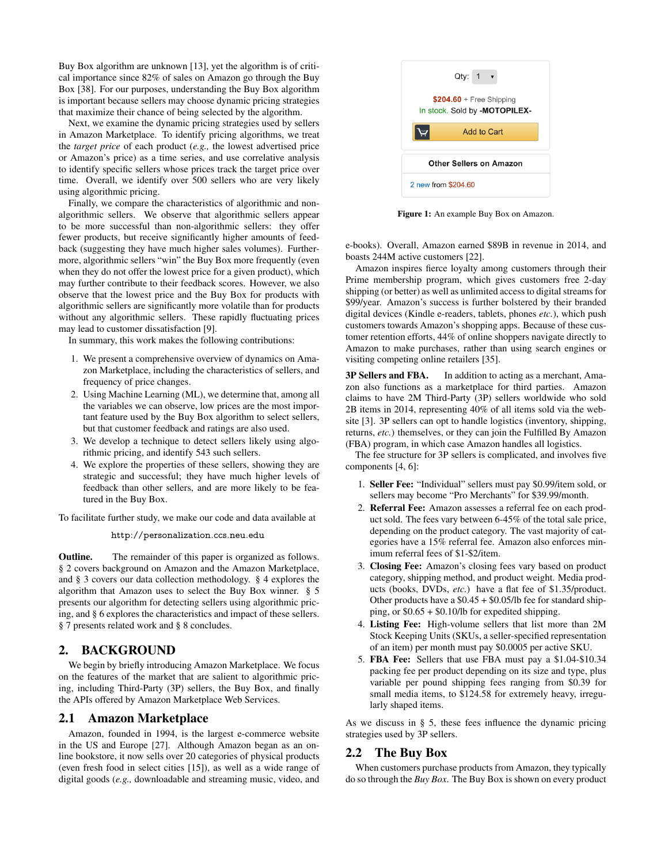Buy Box algorithm are unknown [13], yet the algorithm is of critical importance since 82% of sales on Amazon go through the Buy Box [38]. For our purposes, understanding the Buy Box algorithm is important because sellers may choose dynamic pricing strategies that maximize their chance of being selected by the algorithm.

Next, we examine the dynamic pricing strategies used by sellers in Amazon Marketplace. To identify pricing algorithms, we treat the *target price* of each product (*e.g.,* the lowest advertised price or Amazon's price) as a time series, and use correlative analysis to identify specific sellers whose prices track the target price over time. Overall, we identify over 500 sellers who are very likely using algorithmic pricing.

Finally, we compare the characteristics of algorithmic and nonalgorithmic sellers. We observe that algorithmic sellers appear to be more successful than non-algorithmic sellers: they offer fewer products, but receive significantly higher amounts of feedback (suggesting they have much higher sales volumes). Furthermore, algorithmic sellers "win" the Buy Box more frequently (even when they do not offer the lowest price for a given product), which may further contribute to their feedback scores. However, we also observe that the lowest price and the Buy Box for products with algorithmic sellers are significantly more volatile than for products without any algorithmic sellers. These rapidly fluctuating prices may lead to customer dissatisfaction [9].

In summary, this work makes the following contributions:

- 1. We present a comprehensive overview of dynamics on Amazon Marketplace, including the characteristics of sellers, and frequency of price changes.
- 2. Using Machine Learning (ML), we determine that, among all the variables we can observe, low prices are the most important feature used by the Buy Box algorithm to select sellers, but that customer feedback and ratings are also used.
- 3. We develop a technique to detect sellers likely using algorithmic pricing, and identify 543 such sellers.
- 4. We explore the properties of these sellers, showing they are strategic and successful; they have much higher levels of feedback than other sellers, and are more likely to be featured in the Buy Box.

To facilitate further study, we make our code and data available at

http://personalization.ccs.neu.edu

Outline. The remainder of this paper is organized as follows. § 2 covers background on Amazon and the Amazon Marketplace, and § 3 covers our data collection methodology. § 4 explores the algorithm that Amazon uses to select the Buy Box winner. § 5 presents our algorithm for detecting sellers using algorithmic pricing, and § 6 explores the characteristics and impact of these sellers. § 7 presents related work and § 8 concludes.

## 2. BACKGROUND

We begin by briefly introducing Amazon Marketplace. We focus on the features of the market that are salient to algorithmic pricing, including Third-Party (3P) sellers, the Buy Box, and finally the APIs offered by Amazon Marketplace Web Services.

## 2.1 Amazon Marketplace

Amazon, founded in 1994, is the largest e-commerce website in the US and Europe [27]. Although Amazon began as an online bookstore, it now sells over 20 categories of physical products (even fresh food in select cities [15]), as well as a wide range of digital goods (*e.g.,* downloadable and streaming music, video, and



Figure 1: An example Buy Box on Amazon.

e-books). Overall, Amazon earned \$89B in revenue in 2014, and boasts 244M active customers [22].

Amazon inspires fierce loyalty among customers through their Prime membership program, which gives customers free 2-day shipping (or better) as well as unlimited access to digital streams for \$99/year. Amazon's success is further bolstered by their branded digital devices (Kindle e-readers, tablets, phones *etc.*), which push customers towards Amazon's shopping apps. Because of these customer retention efforts, 44% of online shoppers navigate directly to Amazon to make purchases, rather than using search engines or visiting competing online retailers [35].

3P Sellers and FBA. In addition to acting as a merchant, Amazon also functions as a marketplace for third parties. Amazon claims to have 2M Third-Party (3P) sellers worldwide who sold 2B items in 2014, representing 40% of all items sold via the website [3]. 3P sellers can opt to handle logistics (inventory, shipping, returns, *etc.*) themselves, or they can join the Fulfilled By Amazon (FBA) program, in which case Amazon handles all logistics.

The fee structure for 3P sellers is complicated, and involves five components [4, 6]:

- 1. Seller Fee: "Individual" sellers must pay \$0.99/item sold, or sellers may become "Pro Merchants" for \$39.99/month.
- 2. Referral Fee: Amazon assesses a referral fee on each product sold. The fees vary between 6-45% of the total sale price, depending on the product category. The vast majority of categories have a 15% referral fee. Amazon also enforces minimum referral fees of \$1-\$2/item.
- 3. Closing Fee: Amazon's closing fees vary based on product category, shipping method, and product weight. Media products (books, DVDs, *etc.*) have a flat fee of \$1.35/product. Other products have a \$0.45 + \$0.05/lb fee for standard shipping, or \$0.65 + \$0.10/lb for expedited shipping.
- 4. Listing Fee: High-volume sellers that list more than 2M Stock Keeping Units (SKUs, a seller-specified representation of an item) per month must pay \$0.0005 per active SKU.
- 5. FBA Fee: Sellers that use FBA must pay a \$1.04-\$10.34 packing fee per product depending on its size and type, plus variable per pound shipping fees ranging from \$0.39 for small media items, to \$124.58 for extremely heavy, irregularly shaped items.

As we discuss in § 5, these fees influence the dynamic pricing strategies used by 3P sellers.

#### 2.2 The Buy Box

When customers purchase products from Amazon, they typically do so through the *Buy Box*. The Buy Box is shown on every product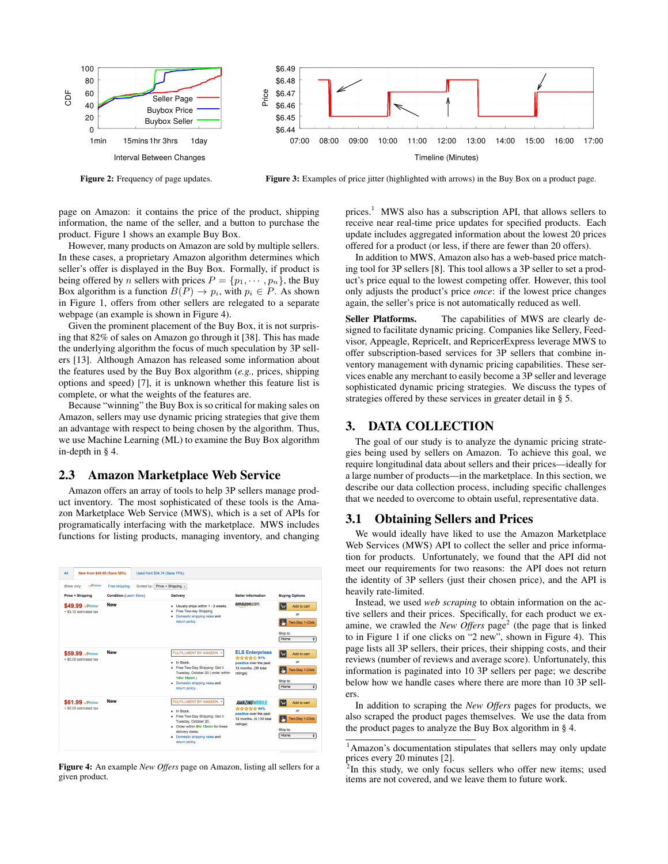

Figure 3: Examples of price jitter (highlighted with arrows) in the Buy Box on a product page.

page on Amazon: it contains the price of the product, shipping information, the name of the seller, and a button to purchase the product. Figure 1 shows an example Buy Box.

However, many products on Amazon are sold by multiple sellers. In these cases, a proprietary Amazon algorithm determines which seller's offer is displayed in the Buy Box. Formally, if product is being offered by *n* sellers with prices  $P = \{p_1, \dots, p_n\}$ , the Buy Box algorithm is a function  $B(P) \to p_i$ , with  $p_i \in P$ . As shown in Figure 1, offers from other sellers are relegated to a separate webpage (an example is shown in Figure 4).

Given the prominent placement of the Buy Box, it is not surprising that 82% of sales on Amazon go through it [38]. This has made the underlying algorithm the focus of much speculation by 3P sellers [13]. Although Amazon has released some information about the features used by the Buy Box algorithm (*e.g.,* prices, shipping options and speed) [7], it is unknown whether this feature list is complete, or what the weights of the features are.

Because "winning" the Buy Box is so critical for making sales on Amazon, sellers may use dynamic pricing strategies that give them an advantage with respect to being chosen by the algorithm. Thus, we use Machine Learning (ML) to examine the Buy Box algorithm in-depth in § 4.

#### 2.3 Amazon Marketplace Web Service

Amazon offers an array of tools to help 3P sellers manage product inventory. The most sophisticated of these tools is the Amazon Marketplace Web Service (MWS), which is a set of APIs for programatically interfacing with the marketplace. MWS includes functions for listing products, managing inventory, and changing

| New from \$49.99 (Save 58%)<br>All                   |                                                              | Used from \$34.74 (Save 71%)                                                                                                                                                                                             |                                                                                                            |                                                                                 |
|------------------------------------------------------|--------------------------------------------------------------|--------------------------------------------------------------------------------------------------------------------------------------------------------------------------------------------------------------------------|------------------------------------------------------------------------------------------------------------|---------------------------------------------------------------------------------|
| $\mathcal{P}$ rime<br>Show only:<br>Price + Shipping | Sorted by:<br>Free shipping<br><b>Condition (Learn More)</b> | Price + Shipping :<br><b>Delivery</b>                                                                                                                                                                                    | Seller Information                                                                                         | <b>Buving Options</b>                                                           |
| \$49.99 Aprime<br>+ \$3.12 estimated tax             | <b>New</b>                                                   | · Usually ships within 1 - 3 weeks.<br>Free Two-day Shipping<br>٠<br>Domestic shipping rates and<br>٠<br>return policy.                                                                                                  | amazon.com                                                                                                 | Add to cart<br>or<br>Two-Day 1-Click<br>Ship to:<br>Home<br>$\div$              |
| \$59.99 Aprime<br>+ \$0.00 estimated tax             | <b>New</b>                                                   | FULFILLMENT BY AMAZON *<br>In Stock.<br>Free Two-Day Shipping: Get it<br>Tuesday, October 20 ( order within<br>14hr 15min )<br>• Domestic shipping rates and<br>return policy.                                           | <b>ELS Enterprises</b><br>****** 91%<br>positive over the past<br>12 months, (35 total<br>ratings)         | Add to cart<br>Ιv<br>or<br>Two-Day 1-Click<br>Ship to:<br>Home<br>$\div$        |
| \$61.99 Aprime<br>+ \$0.00 estimated tax             | <b>New</b>                                                   | <b>FULFILLMENT BY AMAZON</b><br>$\;$<br>In Stock.<br>· Free Two-Day Shipping: Get it<br>Tuesday, October 20.<br>. Order within 9hr 15min for these<br>delivery dates.<br>· Domestic shipping rates and<br>return policy. | <b>AMAZING MOBILE</b><br><b>音音音音音 94%</b><br>positive over the past<br>12 months. (4,133 total<br>ratings) | Add to cart<br>lν<br>or<br><b>Two-Day 1-Click</b><br>Ship to:<br>Home<br>$\div$ |

Figure 4: An example *New Offers* page on Amazon, listing all sellers for a given product.

prices.<sup>1</sup> MWS also has a subscription API, that allows sellers to receive near real-time price updates for specified products. Each update includes aggregated information about the lowest 20 prices offered for a product (or less, if there are fewer than 20 offers).

In addition to MWS, Amazon also has a web-based price matching tool for 3P sellers [8]. This tool allows a 3P seller to set a product's price equal to the lowest competing offer. However, this tool only adjusts the product's price *once*: if the lowest price changes again, the seller's price is not automatically reduced as well.

Seller Platforms. The capabilities of MWS are clearly designed to facilitate dynamic pricing. Companies like Sellery, Feedvisor, Appeagle, RepriceIt, and RepricerExpress leverage MWS to offer subscription-based services for 3P sellers that combine inventory management with dynamic pricing capabilities. These services enable any merchant to easily become a 3P seller and leverage sophisticated dynamic pricing strategies. We discuss the types of strategies offered by these services in greater detail in § 5.

## 3. DATA COLLECTION

The goal of our study is to analyze the dynamic pricing strategies being used by sellers on Amazon. To achieve this goal, we require longitudinal data about sellers and their prices—ideally for a large number of products—in the marketplace. In this section, we describe our data collection process, including specific challenges that we needed to overcome to obtain useful, representative data.

#### 3.1 Obtaining Sellers and Prices

We would ideally have liked to use the Amazon Marketplace Web Services (MWS) API to collect the seller and price information for products. Unfortunately, we found that the API did not meet our requirements for two reasons: the API does not return the identity of 3P sellers (just their chosen price), and the API is heavily rate-limited.

Instead, we used *web scraping* to obtain information on the active sellers and their prices. Specifically, for each product we examine, we crawled the *New Offers* page<sup>2</sup> (the page that is linked to in Figure 1 if one clicks on "2 new", shown in Figure 4). This page lists all 3P sellers, their prices, their shipping costs, and their reviews (number of reviews and average score). Unfortunately, this information is paginated into 10 3P sellers per page; we describe below how we handle cases where there are more than 10 3P sellers.

In addition to scraping the *New Offers* pages for products, we also scraped the product pages themselves. We use the data from the product pages to analyze the Buy Box algorithm in § 4.

<sup>1</sup>Amazon's documentation stipulates that sellers may only update prices every 20 minutes [2].

 $2$ In this study, we only focus sellers who offer new items; used items are not covered, and we leave them to future work.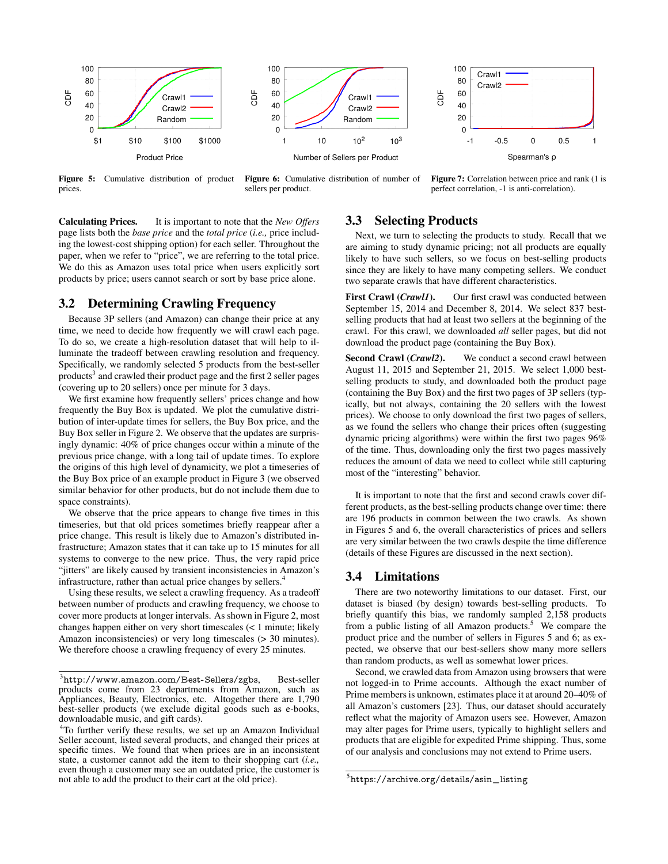

Figure 5: Cumulative distribution of product prices.

Figure 6: Cumulative distribution of number of sellers per product.

Figure 7: Correlation between price and rank (1 is perfect correlation, -1 is anti-correlation).

Calculating Prices. It is important to note that the *New Offers* page lists both the *base price* and the *total price* (*i.e.,* price including the lowest-cost shipping option) for each seller. Throughout the paper, when we refer to "price", we are referring to the total price. We do this as Amazon uses total price when users explicitly sort products by price; users cannot search or sort by base price alone.

## 3.2 Determining Crawling Frequency

Because 3P sellers (and Amazon) can change their price at any time, we need to decide how frequently we will crawl each page. To do so, we create a high-resolution dataset that will help to illuminate the tradeoff between crawling resolution and frequency. Specifically, we randomly selected 5 products from the best-seller products<sup>3</sup> and crawled their product page and the first 2 seller pages (covering up to 20 sellers) once per minute for 3 days.

We first examine how frequently sellers' prices change and how frequently the Buy Box is updated. We plot the cumulative distribution of inter-update times for sellers, the Buy Box price, and the Buy Box seller in Figure 2. We observe that the updates are surprisingly dynamic: 40% of price changes occur within a minute of the previous price change, with a long tail of update times. To explore the origins of this high level of dynamicity, we plot a timeseries of the Buy Box price of an example product in Figure 3 (we observed similar behavior for other products, but do not include them due to space constraints).

We observe that the price appears to change five times in this timeseries, but that old prices sometimes briefly reappear after a price change. This result is likely due to Amazon's distributed infrastructure; Amazon states that it can take up to 15 minutes for all systems to converge to the new price. Thus, the very rapid price "jitters" are likely caused by transient inconsistencies in Amazon's infrastructure, rather than actual price changes by sellers.<sup>4</sup>

Using these results, we select a crawling frequency. As a tradeoff between number of products and crawling frequency, we choose to cover more products at longer intervals. As shown in Figure 2, most changes happen either on very short timescales (< 1 minute; likely Amazon inconsistencies) or very long timescales (> 30 minutes). We therefore choose a crawling frequency of every 25 minutes.

# 3.3 Selecting Products

Next, we turn to selecting the products to study. Recall that we are aiming to study dynamic pricing; not all products are equally likely to have such sellers, so we focus on best-selling products since they are likely to have many competing sellers. We conduct two separate crawls that have different characteristics.

First Crawl (*Crawl1*). Our first crawl was conducted between September 15, 2014 and December 8, 2014. We select 837 bestselling products that had at least two sellers at the beginning of the crawl. For this crawl, we downloaded *all* seller pages, but did not download the product page (containing the Buy Box).

Second Crawl (*Crawl2*). We conduct a second crawl between August 11, 2015 and September 21, 2015. We select 1,000 bestselling products to study, and downloaded both the product page (containing the Buy Box) and the first two pages of 3P sellers (typically, but not always, containing the 20 sellers with the lowest prices). We choose to only download the first two pages of sellers, as we found the sellers who change their prices often (suggesting dynamic pricing algorithms) were within the first two pages 96% of the time. Thus, downloading only the first two pages massively reduces the amount of data we need to collect while still capturing most of the "interesting" behavior.

It is important to note that the first and second crawls cover different products, as the best-selling products change over time: there are 196 products in common between the two crawls. As shown in Figures 5 and 6, the overall characteristics of prices and sellers are very similar between the two crawls despite the time difference (details of these Figures are discussed in the next section).

## 3.4 Limitations

There are two noteworthy limitations to our dataset. First, our dataset is biased (by design) towards best-selling products. To briefly quantify this bias, we randomly sampled 2,158 products from a public listing of all Amazon products.<sup>5</sup> We compare the product price and the number of sellers in Figures 5 and 6; as expected, we observe that our best-sellers show many more sellers than random products, as well as somewhat lower prices.

Second, we crawled data from Amazon using browsers that were not logged-in to Prime accounts. Although the exact number of Prime members is unknown, estimates place it at around 20–40% of all Amazon's customers [23]. Thus, our dataset should accurately reflect what the majority of Amazon users see. However, Amazon may alter pages for Prime users, typically to highlight sellers and products that are eligible for expedited Prime shipping. Thus, some of our analysis and conclusions may not extend to Prime users.

 $3$ http://www.amazon.com/Best-Sellers/zgbs, Best-seller products come from 23 departments from Amazon, such as Appliances, Beauty, Electronics, etc. Altogether there are 1,790 best-seller products (we exclude digital goods such as e-books, downloadable music, and gift cards).

<sup>&</sup>lt;sup>4</sup>To further verify these results, we set up an Amazon Individual Seller account, listed several products, and changed their prices at specific times. We found that when prices are in an inconsistent state, a customer cannot add the item to their shopping cart (*i.e.,* even though a customer may see an outdated price, the customer is not able to add the product to their cart at the old price).

<sup>5</sup>https://archive.org/details/asin\_listing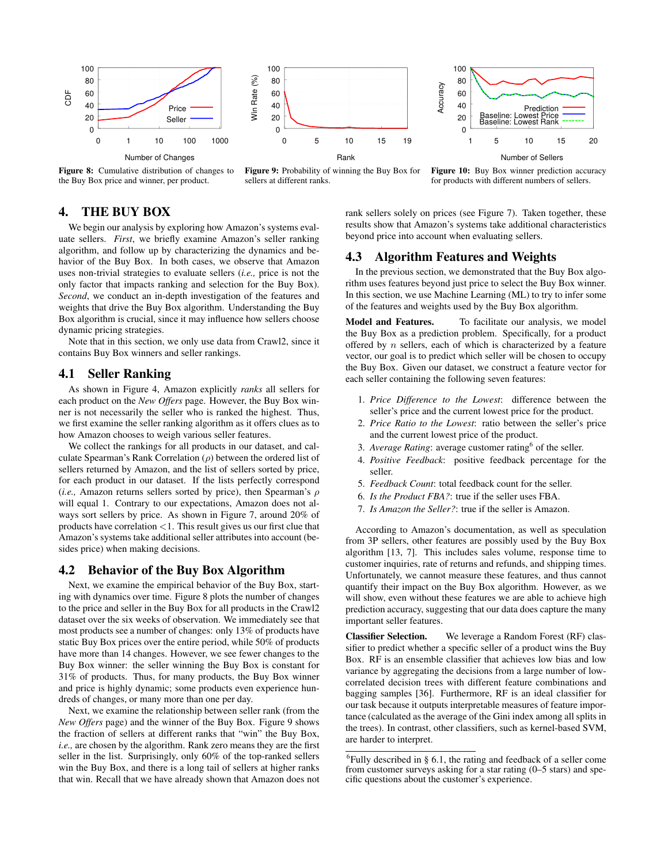



Figure 8: Cumulative distribution of changes to the Buy Box price and winner, per product.

Figure 9: Probability of winning the Buy Box for sellers at different ranks.

Figure 10: Buy Box winner prediction accuracy for products with different numbers of sellers.

# 4. THE BUY BOX

We begin our analysis by exploring how Amazon's systems evaluate sellers. *First*, we briefly examine Amazon's seller ranking algorithm, and follow up by characterizing the dynamics and behavior of the Buy Box. In both cases, we observe that Amazon uses non-trivial strategies to evaluate sellers (*i.e.,* price is not the only factor that impacts ranking and selection for the Buy Box). *Second*, we conduct an in-depth investigation of the features and weights that drive the Buy Box algorithm. Understanding the Buy Box algorithm is crucial, since it may influence how sellers choose dynamic pricing strategies.

Note that in this section, we only use data from Crawl2, since it contains Buy Box winners and seller rankings.

## 4.1 Seller Ranking

As shown in Figure 4, Amazon explicitly *ranks* all sellers for each product on the *New Offers* page. However, the Buy Box winner is not necessarily the seller who is ranked the highest. Thus, we first examine the seller ranking algorithm as it offers clues as to how Amazon chooses to weigh various seller features.

We collect the rankings for all products in our dataset, and calculate Spearman's Rank Correlation  $(\rho)$  between the ordered list of sellers returned by Amazon, and the list of sellers sorted by price, for each product in our dataset. If the lists perfectly correspond (*i.e.*, Amazon returns sellers sorted by price), then Spearman's  $\rho$ will equal 1. Contrary to our expectations, Amazon does not always sort sellers by price. As shown in Figure 7, around 20% of products have correlation <1. This result gives us our first clue that Amazon's systems take additional seller attributes into account (besides price) when making decisions.

#### 4.2 Behavior of the Buy Box Algorithm

Next, we examine the empirical behavior of the Buy Box, starting with dynamics over time. Figure 8 plots the number of changes to the price and seller in the Buy Box for all products in the Crawl2 dataset over the six weeks of observation. We immediately see that most products see a number of changes: only 13% of products have static Buy Box prices over the entire period, while 50% of products have more than 14 changes. However, we see fewer changes to the Buy Box winner: the seller winning the Buy Box is constant for 31% of products. Thus, for many products, the Buy Box winner and price is highly dynamic; some products even experience hundreds of changes, or many more than one per day.

Next, we examine the relationship between seller rank (from the *New Offers* page) and the winner of the Buy Box. Figure 9 shows the fraction of sellers at different ranks that "win" the Buy Box, *i.e.,* are chosen by the algorithm. Rank zero means they are the first seller in the list. Surprisingly, only 60% of the top-ranked sellers win the Buy Box, and there is a long tail of sellers at higher ranks that win. Recall that we have already shown that Amazon does not rank sellers solely on prices (see Figure 7). Taken together, these results show that Amazon's systems take additional characteristics beyond price into account when evaluating sellers.

## 4.3 Algorithm Features and Weights

In the previous section, we demonstrated that the Buy Box algorithm uses features beyond just price to select the Buy Box winner. In this section, we use Machine Learning (ML) to try to infer some of the features and weights used by the Buy Box algorithm.

Model and Features. To facilitate our analysis, we model the Buy Box as a prediction problem. Specifically, for a product offered by  $n$  sellers, each of which is characterized by a feature vector, our goal is to predict which seller will be chosen to occupy the Buy Box. Given our dataset, we construct a feature vector for each seller containing the following seven features:

- 1. *Price Difference to the Lowest*: difference between the seller's price and the current lowest price for the product.
- 2. *Price Ratio to the Lowest*: ratio between the seller's price and the current lowest price of the product.
- 3. Average Rating: average customer rating<sup>6</sup> of the seller.
- 4. *Positive Feedback*: positive feedback percentage for the seller.
- 5. *Feedback Count*: total feedback count for the seller.
- 6. *Is the Product FBA?*: true if the seller uses FBA.
- 7. *Is Amazon the Seller?*: true if the seller is Amazon.

According to Amazon's documentation, as well as speculation from 3P sellers, other features are possibly used by the Buy Box algorithm [13, 7]. This includes sales volume, response time to customer inquiries, rate of returns and refunds, and shipping times. Unfortunately, we cannot measure these features, and thus cannot quantify their impact on the Buy Box algorithm. However, as we will show, even without these features we are able to achieve high prediction accuracy, suggesting that our data does capture the many important seller features.

Classifier Selection. We leverage a Random Forest (RF) classifier to predict whether a specific seller of a product wins the Buy Box. RF is an ensemble classifier that achieves low bias and low variance by aggregating the decisions from a large number of lowcorrelated decision trees with different feature combinations and bagging samples [36]. Furthermore, RF is an ideal classifier for our task because it outputs interpretable measures of feature importance (calculated as the average of the Gini index among all splits in the trees). In contrast, other classifiers, such as kernel-based SVM, are harder to interpret.

 ${}^{6}$ Fully described in § 6.1, the rating and feedback of a seller come from customer surveys asking for a star rating (0–5 stars) and specific questions about the customer's experience.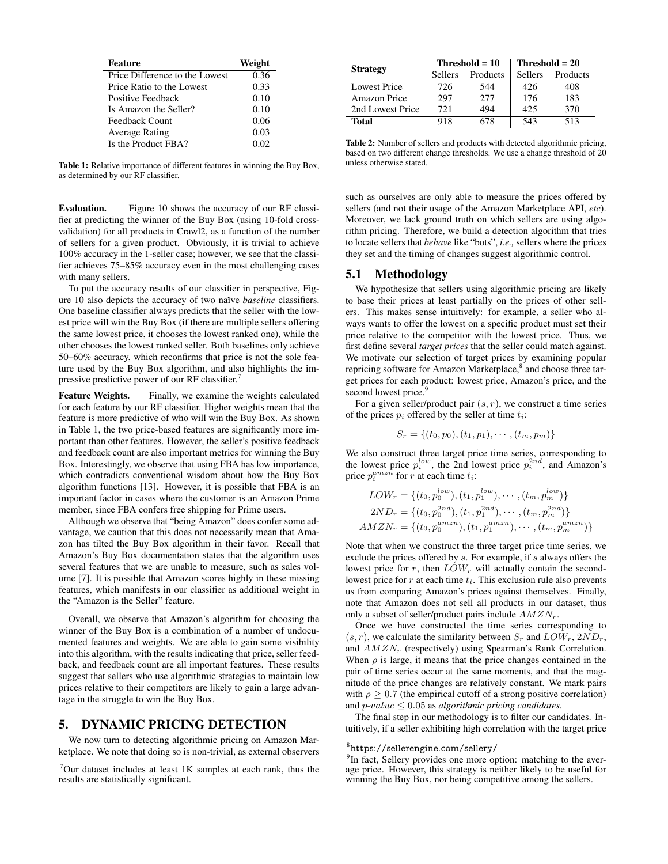| Feature                        | Weight |
|--------------------------------|--------|
| Price Difference to the Lowest | 0.36   |
| Price Ratio to the Lowest      | 0.33   |
| Positive Feedback              | 0.10   |
| Is Amazon the Seller?          | 0.10   |
| Feedback Count                 | 0.06   |
| <b>Average Rating</b>          | 0.03   |
| Is the Product FBA?            | 0.02   |

Table 1: Relative importance of different features in winning the Buy Box, as determined by our RF classifier.

Evaluation. Figure 10 shows the accuracy of our RF classifier at predicting the winner of the Buy Box (using 10-fold crossvalidation) for all products in Crawl2, as a function of the number of sellers for a given product. Obviously, it is trivial to achieve 100% accuracy in the 1-seller case; however, we see that the classifier achieves 75–85% accuracy even in the most challenging cases with many sellers.

To put the accuracy results of our classifier in perspective, Figure 10 also depicts the accuracy of two naïve *baseline* classifiers. One baseline classifier always predicts that the seller with the lowest price will win the Buy Box (if there are multiple sellers offering the same lowest price, it chooses the lowest ranked one), while the other chooses the lowest ranked seller. Both baselines only achieve 50–60% accuracy, which reconfirms that price is not the sole feature used by the Buy Box algorithm, and also highlights the impressive predictive power of our RF classifier.<sup>7</sup>

Feature Weights. Finally, we examine the weights calculated for each feature by our RF classifier. Higher weights mean that the feature is more predictive of who will win the Buy Box. As shown in Table 1, the two price-based features are significantly more important than other features. However, the seller's positive feedback and feedback count are also important metrics for winning the Buy Box. Interestingly, we observe that using FBA has low importance, which contradicts conventional wisdom about how the Buy Box algorithm functions [13]. However, it is possible that FBA is an important factor in cases where the customer is an Amazon Prime member, since FBA confers free shipping for Prime users.

Although we observe that "being Amazon" does confer some advantage, we caution that this does not necessarily mean that Amazon has tilted the Buy Box algorithm in their favor. Recall that Amazon's Buy Box documentation states that the algorithm uses several features that we are unable to measure, such as sales volume [7]. It is possible that Amazon scores highly in these missing features, which manifests in our classifier as additional weight in the "Amazon is the Seller" feature.

Overall, we observe that Amazon's algorithm for choosing the winner of the Buy Box is a combination of a number of undocumented features and weights. We are able to gain some visibility into this algorithm, with the results indicating that price, seller feedback, and feedback count are all important features. These results suggest that sellers who use algorithmic strategies to maintain low prices relative to their competitors are likely to gain a large advantage in the struggle to win the Buy Box.

#### 5. DYNAMIC PRICING DETECTION

We now turn to detecting algorithmic pricing on Amazon Marketplace. We note that doing so is non-trivial, as external observers

|                     | Threshold $= 10$ |          | Threshold $= 20$ |          |
|---------------------|------------------|----------|------------------|----------|
| <b>Strategy</b>     | <b>Sellers</b>   | Products | <b>Sellers</b>   | Products |
| <b>Lowest Price</b> | 726              | 544      | 426              | 408      |
| Amazon Price        | 297              | 2.77     | 176              | 183      |
| 2nd Lowest Price    | 721              | 494      | 425              | 370      |
| Total               | 918              | 678      | 543              | 513      |

Table 2: Number of sellers and products with detected algorithmic pricing, based on two different change thresholds. We use a change threshold of 20 unless otherwise stated.

such as ourselves are only able to measure the prices offered by sellers (and not their usage of the Amazon Marketplace API, *etc*). Moreover, we lack ground truth on which sellers are using algorithm pricing. Therefore, we build a detection algorithm that tries to locate sellers that *behave* like "bots", *i.e.,* sellers where the prices they set and the timing of changes suggest algorithmic control.

#### 5.1 Methodology

We hypothesize that sellers using algorithmic pricing are likely to base their prices at least partially on the prices of other sellers. This makes sense intuitively: for example, a seller who always wants to offer the lowest on a specific product must set their price relative to the competitor with the lowest price. Thus, we first define several *target prices* that the seller could match against. We motivate our selection of target prices by examining popular repricing software for Amazon Marketplace,<sup>8</sup> and choose three target prices for each product: lowest price, Amazon's price, and the second lowest price.<sup>9</sup>

For a given seller/product pair  $(s, r)$ , we construct a time series of the prices  $p_i$  offered by the seller at time  $t_i$ :

$$
S_r = \{(t_0, p_0), (t_1, p_1), \cdots, (t_m, p_m)\}\
$$

We also construct three target price time series, corresponding to the lowest price  $p_i^{low}$ , the 2nd lowest price  $p_i^{2nd}$ , and Amazon's price  $p_i^{amzn}$  for r at each time  $t_i$ :

$$
LOW_r = \{(t_0, p_0^{low}), (t_1, p_1^{low}), \cdots, (t_m, p_m^{low})\}
$$
  

$$
2ND_r = \{(t_0, p_0^{2nd}), (t_1, p_1^{2nd}), \cdots, (t_m, p_m^{2nd})\}
$$
  

$$
AMZN_r = \{(t_0, p_0^{anzn}), (t_1, p_1^{amzn}), \cdots, (t_m, p_m^{amzn})\}
$$

Note that when we construct the three target price time series, we exclude the prices offered by s. For example, if s always offers the lowest price for  $r$ , then  $LOW_r$  will actually contain the secondlowest price for  $r$  at each time  $t_i$ . This exclusion rule also prevents us from comparing Amazon's prices against themselves. Finally, note that Amazon does not sell all products in our dataset, thus only a subset of seller/product pairs include  $AMZN_r$ .

Once we have constructed the time series corresponding to  $(s, r)$ , we calculate the similarity between  $S_r$  and  $LOW_r$ ,  $2ND_r$ , and  $AMZN_r$  (respectively) using Spearman's Rank Correlation. When  $\rho$  is large, it means that the price changes contained in the pair of time series occur at the same moments, and that the magnitude of the price changes are relatively constant. We mark pairs with  $\rho \geq 0.7$  (the empirical cutoff of a strong positive correlation) and p-value ≤ 0.05 as *algorithmic pricing candidates*.

The final step in our methodology is to filter our candidates. Intuitively, if a seller exhibiting high correlation with the target price

 $7$ Our dataset includes at least 1K samples at each rank, thus the results are statistically significant.

 $8$ https://sellerengine.com/sellery/

<sup>&</sup>lt;sup>9</sup>In fact, Sellery provides one more option: matching to the average price. However, this strategy is neither likely to be useful for winning the Buy Box, nor being competitive among the sellers.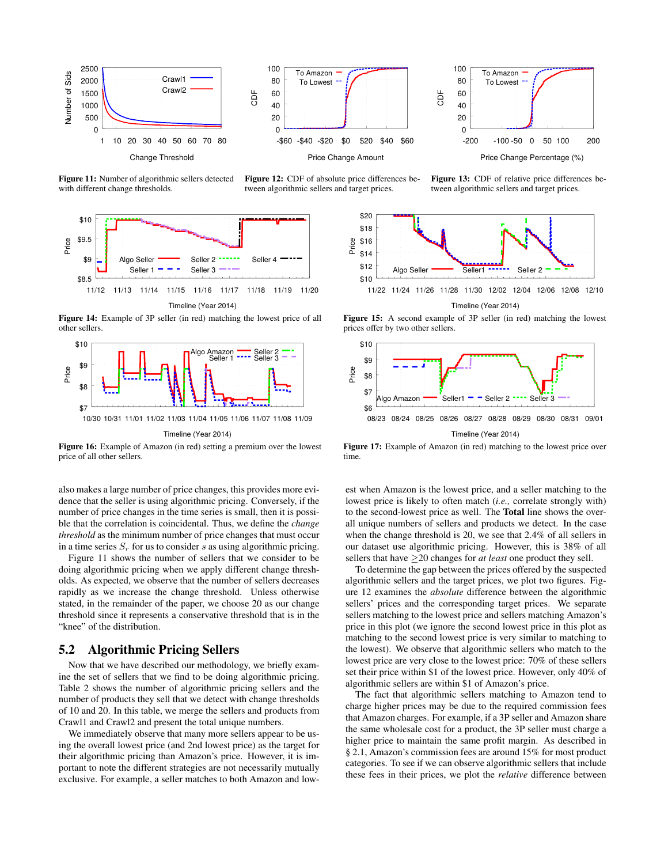





Price Change Percentage (%)

Figure 11: Number of algorithmic sellers detected with different change thresholds.



Figure 14: Example of 3P seller (in red) matching the lowest price of all other sellers.



Figure 16: Example of Amazon (in red) setting a premium over the lowest price of all other sellers.

also makes a large number of price changes, this provides more evidence that the seller is using algorithmic pricing. Conversely, if the number of price changes in the time series is small, then it is possible that the correlation is coincidental. Thus, we define the *change threshold* as the minimum number of price changes that must occur in a time series  $S_r$  for us to consider s as using algorithmic pricing.

Figure 11 shows the number of sellers that we consider to be doing algorithmic pricing when we apply different change thresholds. As expected, we observe that the number of sellers decreases rapidly as we increase the change threshold. Unless otherwise stated, in the remainder of the paper, we choose 20 as our change threshold since it represents a conservative threshold that is in the "knee" of the distribution.

#### 5.2 Algorithmic Pricing Sellers

Now that we have described our methodology, we briefly examine the set of sellers that we find to be doing algorithmic pricing. Table 2 shows the number of algorithmic pricing sellers and the number of products they sell that we detect with change thresholds of 10 and 20. In this table, we merge the sellers and products from Crawl1 and Crawl2 and present the total unique numbers.

We immediately observe that many more sellers appear to be using the overall lowest price (and 2nd lowest price) as the target for their algorithmic pricing than Amazon's price. However, it is important to note the different strategies are not necessarily mutually exclusive. For example, a seller matches to both Amazon and low-



Figure 13: CDF of relative price differences between algorithmic sellers and target prices.



Figure 15: A second example of 3P seller (in red) matching the lowest prices offer by two other sellers.



Figure 17: Example of Amazon (in red) matching to the lowest price over time.

est when Amazon is the lowest price, and a seller matching to the lowest price is likely to often match (*i.e.,* correlate strongly with) to the second-lowest price as well. The Total line shows the overall unique numbers of sellers and products we detect. In the case when the change threshold is 20, we see that 2.4% of all sellers in our dataset use algorithmic pricing. However, this is 38% of all sellers that have ≥20 changes for *at least* one product they sell.

To determine the gap between the prices offered by the suspected algorithmic sellers and the target prices, we plot two figures. Figure 12 examines the *absolute* difference between the algorithmic sellers' prices and the corresponding target prices. We separate sellers matching to the lowest price and sellers matching Amazon's price in this plot (we ignore the second lowest price in this plot as matching to the second lowest price is very similar to matching to the lowest). We observe that algorithmic sellers who match to the lowest price are very close to the lowest price: 70% of these sellers set their price within \$1 of the lowest price. However, only 40% of algorithmic sellers are within \$1 of Amazon's price.

The fact that algorithmic sellers matching to Amazon tend to charge higher prices may be due to the required commission fees that Amazon charges. For example, if a 3P seller and Amazon share the same wholesale cost for a product, the 3P seller must charge a higher price to maintain the same profit margin. As described in § 2.1, Amazon's commission fees are around 15% for most product categories. To see if we can observe algorithmic sellers that include these fees in their prices, we plot the *relative* difference between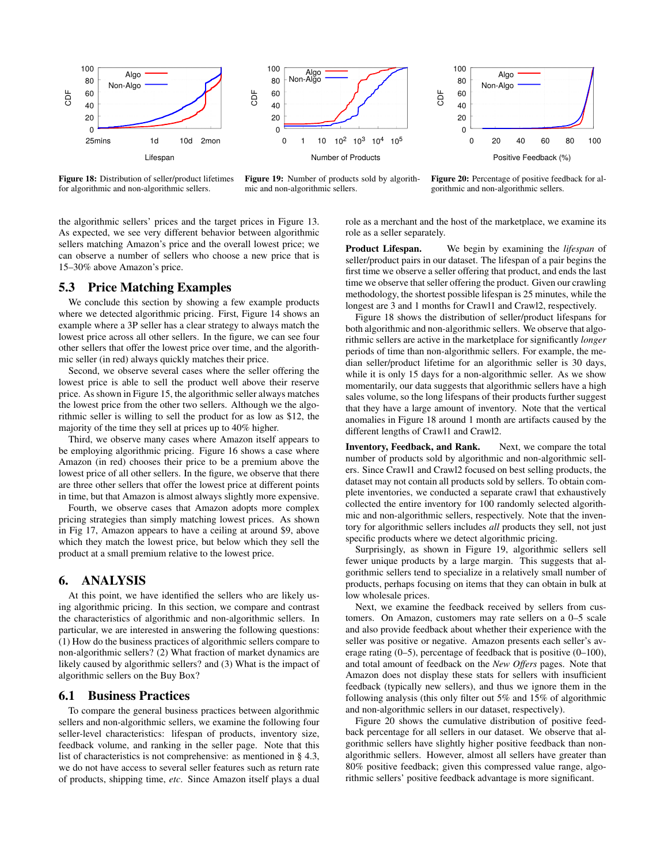

Figure 18: Distribution of seller/product lifetimes for algorithmic and non-algorithmic sellers.

Figure 19: Number of products sold by algorithmic and non-algorithmic sellers.

Figure 20: Percentage of positive feedback for algorithmic and non-algorithmic sellers.

the algorithmic sellers' prices and the target prices in Figure 13. As expected, we see very different behavior between algorithmic sellers matching Amazon's price and the overall lowest price; we can observe a number of sellers who choose a new price that is 15–30% above Amazon's price.

## 5.3 Price Matching Examples

We conclude this section by showing a few example products where we detected algorithmic pricing. First, Figure 14 shows an example where a 3P seller has a clear strategy to always match the lowest price across all other sellers. In the figure, we can see four other sellers that offer the lowest price over time, and the algorithmic seller (in red) always quickly matches their price.

Second, we observe several cases where the seller offering the lowest price is able to sell the product well above their reserve price. As shown in Figure 15, the algorithmic seller always matches the lowest price from the other two sellers. Although we the algorithmic seller is willing to sell the product for as low as \$12, the majority of the time they sell at prices up to 40% higher.

Third, we observe many cases where Amazon itself appears to be employing algorithmic pricing. Figure 16 shows a case where Amazon (in red) chooses their price to be a premium above the lowest price of all other sellers. In the figure, we observe that there are three other sellers that offer the lowest price at different points in time, but that Amazon is almost always slightly more expensive.

Fourth, we observe cases that Amazon adopts more complex pricing strategies than simply matching lowest prices. As shown in Fig 17, Amazon appears to have a ceiling at around \$9, above which they match the lowest price, but below which they sell the product at a small premium relative to the lowest price.

#### 6. ANALYSIS

At this point, we have identified the sellers who are likely using algorithmic pricing. In this section, we compare and contrast the characteristics of algorithmic and non-algorithmic sellers. In particular, we are interested in answering the following questions: (1) How do the business practices of algorithmic sellers compare to non-algorithmic sellers? (2) What fraction of market dynamics are likely caused by algorithmic sellers? and (3) What is the impact of algorithmic sellers on the Buy Box?

## 6.1 Business Practices

To compare the general business practices between algorithmic sellers and non-algorithmic sellers, we examine the following four seller-level characteristics: lifespan of products, inventory size, feedback volume, and ranking in the seller page. Note that this list of characteristics is not comprehensive: as mentioned in § 4.3, we do not have access to several seller features such as return rate of products, shipping time, *etc*. Since Amazon itself plays a dual

role as a merchant and the host of the marketplace, we examine its role as a seller separately.

Product Lifespan. We begin by examining the *lifespan* of seller/product pairs in our dataset. The lifespan of a pair begins the first time we observe a seller offering that product, and ends the last time we observe that seller offering the product. Given our crawling methodology, the shortest possible lifespan is 25 minutes, while the longest are 3 and 1 months for Crawl1 and Crawl2, respectively.

Figure 18 shows the distribution of seller/product lifespans for both algorithmic and non-algorithmic sellers. We observe that algorithmic sellers are active in the marketplace for significantly *longer* periods of time than non-algorithmic sellers. For example, the median seller/product lifetime for an algorithmic seller is 30 days, while it is only 15 days for a non-algorithmic seller. As we show momentarily, our data suggests that algorithmic sellers have a high sales volume, so the long lifespans of their products further suggest that they have a large amount of inventory. Note that the vertical anomalies in Figure 18 around 1 month are artifacts caused by the different lengths of Crawl1 and Crawl2.

Inventory, Feedback, and Rank. Next, we compare the total number of products sold by algorithmic and non-algorithmic sellers. Since Crawl1 and Crawl2 focused on best selling products, the dataset may not contain all products sold by sellers. To obtain complete inventories, we conducted a separate crawl that exhaustively collected the entire inventory for 100 randomly selected algorithmic and non-algorithmic sellers, respectively. Note that the inventory for algorithmic sellers includes *all* products they sell, not just specific products where we detect algorithmic pricing.

Surprisingly, as shown in Figure 19, algorithmic sellers sell fewer unique products by a large margin. This suggests that algorithmic sellers tend to specialize in a relatively small number of products, perhaps focusing on items that they can obtain in bulk at low wholesale prices.

Next, we examine the feedback received by sellers from customers. On Amazon, customers may rate sellers on a 0–5 scale and also provide feedback about whether their experience with the seller was positive or negative. Amazon presents each seller's average rating (0–5), percentage of feedback that is positive (0–100), and total amount of feedback on the *New Offers* pages. Note that Amazon does not display these stats for sellers with insufficient feedback (typically new sellers), and thus we ignore them in the following analysis (this only filter out 5% and 15% of algorithmic and non-algorithmic sellers in our dataset, respectively).

Figure 20 shows the cumulative distribution of positive feedback percentage for all sellers in our dataset. We observe that algorithmic sellers have slightly higher positive feedback than nonalgorithmic sellers. However, almost all sellers have greater than 80% positive feedback; given this compressed value range, algorithmic sellers' positive feedback advantage is more significant.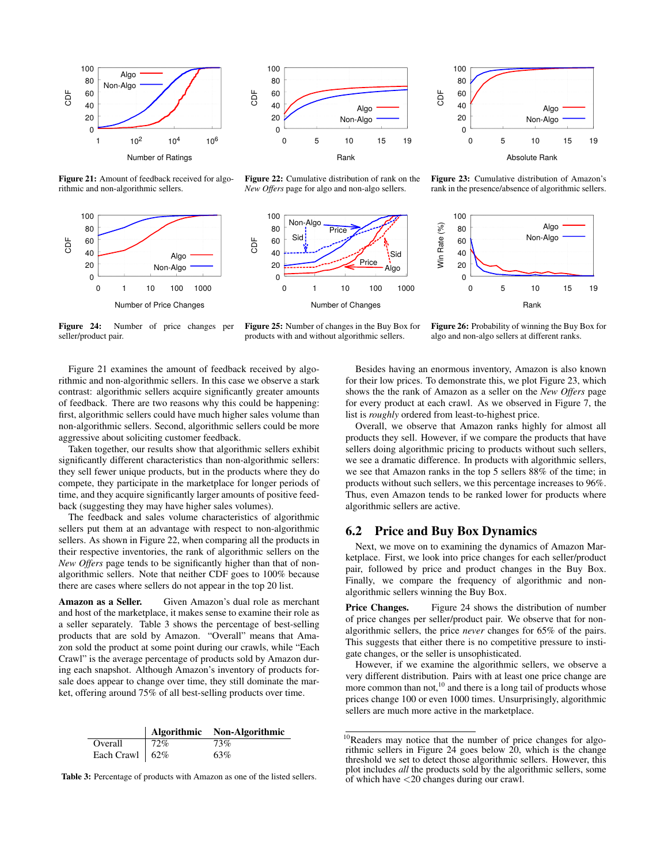



Figure 21: Amount of feedback received for algorithmic and non-algorithmic sellers.



Figure 22: Cumulative distribution of rank on the *New Offers* page for algo and non-algo sellers.



Figure 23: Cumulative distribution of Amazon's rank in the presence/absence of algorithmic sellers.

0 5 10 15 19

Algo Non-Algo

Absolute Rank



Figure 24: Number of price changes per seller/product pair.

Figure 25: Number of changes in the Buy Box for products with and without algorithmic sellers.

Figure 26: Probability of winning the Buy Box for algo and non-algo sellers at different ranks.

Figure 21 examines the amount of feedback received by algorithmic and non-algorithmic sellers. In this case we observe a stark contrast: algorithmic sellers acquire significantly greater amounts of feedback. There are two reasons why this could be happening: first, algorithmic sellers could have much higher sales volume than non-algorithmic sellers. Second, algorithmic sellers could be more aggressive about soliciting customer feedback.

Taken together, our results show that algorithmic sellers exhibit significantly different characteristics than non-algorithmic sellers: they sell fewer unique products, but in the products where they do compete, they participate in the marketplace for longer periods of time, and they acquire significantly larger amounts of positive feedback (suggesting they may have higher sales volumes).

The feedback and sales volume characteristics of algorithmic sellers put them at an advantage with respect to non-algorithmic sellers. As shown in Figure 22, when comparing all the products in their respective inventories, the rank of algorithmic sellers on the *New Offers* page tends to be significantly higher than that of nonalgorithmic sellers. Note that neither CDF goes to 100% because there are cases where sellers do not appear in the top 20 list.

Amazon as a Seller. Given Amazon's dual role as merchant and host of the marketplace, it makes sense to examine their role as a seller separately. Table 3 shows the percentage of best-selling products that are sold by Amazon. "Overall" means that Amazon sold the product at some point during our crawls, while "Each Crawl" is the average percentage of products sold by Amazon during each snapshot. Although Amazon's inventory of products forsale does appear to change over time, they still dominate the market, offering around 75% of all best-selling products over time.

|                     |      | Algorithmic Non-Algorithmic |
|---------------------|------|-----------------------------|
| Overall             | 172% | 73%                         |
| Each Crawl   $62\%$ |      | 63%                         |

Table 3: Percentage of products with Amazon as one of the listed sellers.

Besides having an enormous inventory, Amazon is also known for their low prices. To demonstrate this, we plot Figure 23, which shows the the rank of Amazon as a seller on the *New Offers* page for every product at each crawl. As we observed in Figure 7, the list is *roughly* ordered from least-to-highest price.

CDF

Overall, we observe that Amazon ranks highly for almost all products they sell. However, if we compare the products that have sellers doing algorithmic pricing to products without such sellers, we see a dramatic difference. In products with algorithmic sellers, we see that Amazon ranks in the top 5 sellers 88% of the time; in products without such sellers, we this percentage increases to 96%. Thus, even Amazon tends to be ranked lower for products where algorithmic sellers are active.

## 6.2 Price and Buy Box Dynamics

Next, we move on to examining the dynamics of Amazon Marketplace. First, we look into price changes for each seller/product pair, followed by price and product changes in the Buy Box. Finally, we compare the frequency of algorithmic and nonalgorithmic sellers winning the Buy Box.

**Price Changes.** Figure 24 shows the distribution of number of price changes per seller/product pair. We observe that for nonalgorithmic sellers, the price *never* changes for 65% of the pairs. This suggests that either there is no competitive pressure to instigate changes, or the seller is unsophisticated.

However, if we examine the algorithmic sellers, we observe a very different distribution. Pairs with at least one price change are more common than not, $^{10}$  and there is a long tail of products whose prices change 100 or even 1000 times. Unsurprisingly, algorithmic sellers are much more active in the marketplace.

<sup>&</sup>lt;sup>10</sup>Readers may notice that the number of price changes for algorithmic sellers in Figure 24 goes below 20, which is the change threshold we set to detect those algorithmic sellers. However, this plot includes *all* the products sold by the algorithmic sellers, some of which have <20 changes during our crawl.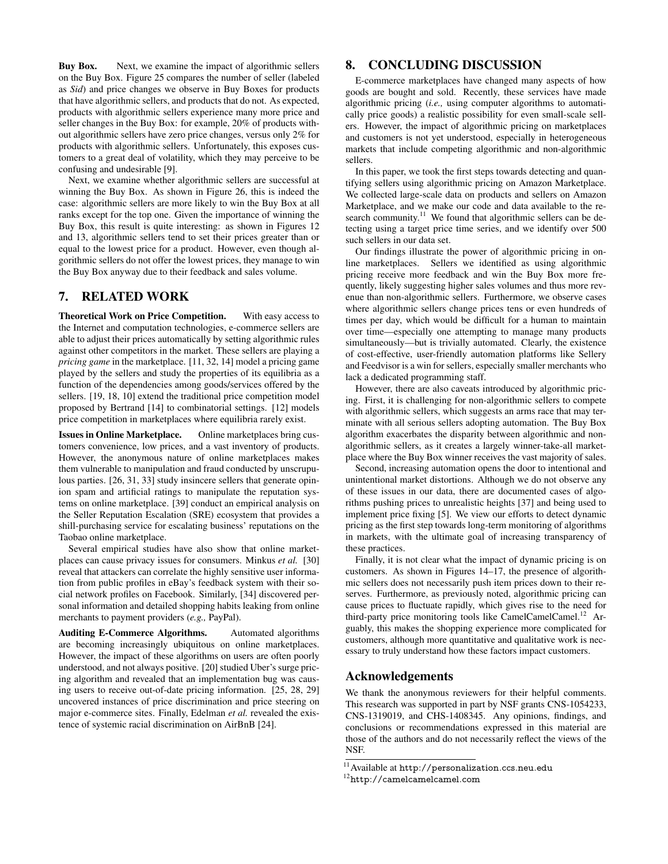Buy Box. Next, we examine the impact of algorithmic sellers on the Buy Box. Figure 25 compares the number of seller (labeled as *Sid*) and price changes we observe in Buy Boxes for products that have algorithmic sellers, and products that do not. As expected, products with algorithmic sellers experience many more price and seller changes in the Buy Box: for example, 20% of products without algorithmic sellers have zero price changes, versus only 2% for products with algorithmic sellers. Unfortunately, this exposes customers to a great deal of volatility, which they may perceive to be confusing and undesirable [9].

Next, we examine whether algorithmic sellers are successful at winning the Buy Box. As shown in Figure 26, this is indeed the case: algorithmic sellers are more likely to win the Buy Box at all ranks except for the top one. Given the importance of winning the Buy Box, this result is quite interesting: as shown in Figures 12 and 13, algorithmic sellers tend to set their prices greater than or equal to the lowest price for a product. However, even though algorithmic sellers do not offer the lowest prices, they manage to win the Buy Box anyway due to their feedback and sales volume.

## 7. RELATED WORK

Theoretical Work on Price Competition. With easy access to the Internet and computation technologies, e-commerce sellers are able to adjust their prices automatically by setting algorithmic rules against other competitors in the market. These sellers are playing a *pricing game* in the marketplace. [11, 32, 14] model a pricing game played by the sellers and study the properties of its equilibria as a function of the dependencies among goods/services offered by the sellers. [19, 18, 10] extend the traditional price competition model proposed by Bertrand [14] to combinatorial settings. [12] models price competition in marketplaces where equilibria rarely exist.

Issues in Online Marketplace. Online marketplaces bring customers convenience, low prices, and a vast inventory of products. However, the anonymous nature of online marketplaces makes them vulnerable to manipulation and fraud conducted by unscrupulous parties. [26, 31, 33] study insincere sellers that generate opinion spam and artificial ratings to manipulate the reputation systems on online marketplace. [39] conduct an empirical analysis on the Seller Reputation Escalation (SRE) ecosystem that provides a shill-purchasing service for escalating business' reputations on the Taobao online marketplace.

Several empirical studies have also show that online marketplaces can cause privacy issues for consumers. Minkus *et al.* [30] reveal that attackers can correlate the highly sensitive user information from public profiles in eBay's feedback system with their social network profiles on Facebook. Similarly, [34] discovered personal information and detailed shopping habits leaking from online merchants to payment providers (*e.g.,* PayPal).

Auditing E-Commerce Algorithms. Automated algorithms are becoming increasingly ubiquitous on online marketplaces. However, the impact of these algorithms on users are often poorly understood, and not always positive. [20] studied Uber's surge pricing algorithm and revealed that an implementation bug was causing users to receive out-of-date pricing information. [25, 28, 29] uncovered instances of price discrimination and price steering on major e-commerce sites. Finally, Edelman *et al.* revealed the existence of systemic racial discrimination on AirBnB [24].

## 8. CONCLUDING DISCUSSION

E-commerce marketplaces have changed many aspects of how goods are bought and sold. Recently, these services have made algorithmic pricing (*i.e.,* using computer algorithms to automatically price goods) a realistic possibility for even small-scale sellers. However, the impact of algorithmic pricing on marketplaces and customers is not yet understood, especially in heterogeneous markets that include competing algorithmic and non-algorithmic sellers.

In this paper, we took the first steps towards detecting and quantifying sellers using algorithmic pricing on Amazon Marketplace. We collected large-scale data on products and sellers on Amazon Marketplace, and we make our code and data available to the research community.<sup>11</sup> We found that algorithmic sellers can be detecting using a target price time series, and we identify over 500 such sellers in our data set.

Our findings illustrate the power of algorithmic pricing in online marketplaces. Sellers we identified as using algorithmic pricing receive more feedback and win the Buy Box more frequently, likely suggesting higher sales volumes and thus more revenue than non-algorithmic sellers. Furthermore, we observe cases where algorithmic sellers change prices tens or even hundreds of times per day, which would be difficult for a human to maintain over time—especially one attempting to manage many products simultaneously—but is trivially automated. Clearly, the existence of cost-effective, user-friendly automation platforms like Sellery and Feedvisor is a win for sellers, especially smaller merchants who lack a dedicated programming staff.

However, there are also caveats introduced by algorithmic pricing. First, it is challenging for non-algorithmic sellers to compete with algorithmic sellers, which suggests an arms race that may terminate with all serious sellers adopting automation. The Buy Box algorithm exacerbates the disparity between algorithmic and nonalgorithmic sellers, as it creates a largely winner-take-all marketplace where the Buy Box winner receives the vast majority of sales.

Second, increasing automation opens the door to intentional and unintentional market distortions. Although we do not observe any of these issues in our data, there are documented cases of algorithms pushing prices to unrealistic heights [37] and being used to implement price fixing [5]. We view our efforts to detect dynamic pricing as the first step towards long-term monitoring of algorithms in markets, with the ultimate goal of increasing transparency of these practices.

Finally, it is not clear what the impact of dynamic pricing is on customers. As shown in Figures 14–17, the presence of algorithmic sellers does not necessarily push item prices down to their reserves. Furthermore, as previously noted, algorithmic pricing can cause prices to fluctuate rapidly, which gives rise to the need for third-party price monitoring tools like CamelCamelCamel.<sup>12</sup> Arguably, this makes the shopping experience more complicated for customers, although more quantitative and qualitative work is necessary to truly understand how these factors impact customers.

## Acknowledgements

We thank the anonymous reviewers for their helpful comments. This research was supported in part by NSF grants CNS-1054233, CNS-1319019, and CHS-1408345. Any opinions, findings, and conclusions or recommendations expressed in this material are those of the authors and do not necessarily reflect the views of the NSF.

<sup>11</sup>Available at http://personalization.ccs.neu.edu

<sup>12</sup>http://camelcamelcamel.com